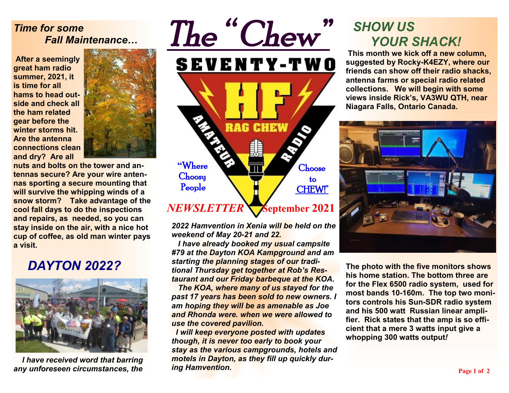#### *Time for some Fall Maintenance…*

**After a seemingly great ham radio summer, 2021, it is time for all hams to head outside and check all the ham related gear before the winter storms hit. Are the antenna connections clean and dry? Are all** 



**nuts and bolts on the tower and antennas secure? Are your wire antennas sporting a secure mounting that will survive the whipping winds of a snow storm? Take advantage of the cool fall days to do the inspections and repairs, as needed, so you can stay inside on the air, with a nice hot cup of coffee, as old man winter pays a visit.** 

## *DAYTON 2022?*



 *I have received word that barring any unforeseen circumstances, the* 



*2022 Hamvention in Xenia will be held on the weekend of May 20-21 and 22.* 

 *I have already booked my usual campsite #79 at the Dayton KOA Kampground and am starting the planning stages of our traditional Thursday get together at Rob's Restaurant and our Friday barbeque at the KOA.* 

 *The KOA, where many of us stayed for the past 17 years has been sold to new owners. I am hoping they will be as amenable as Joe and Rhonda were. when we were allowed to use the covered pavilion.* 

 *I will keep everyone posted with updates though, it is never too early to book your stay as the various campgrounds, hotels and motels in Dayton, as they fill up quickly during Hamvention.* 

# *SHOW US YOUR SHACK!*

**This month we kick off a new column, suggested by Rocky-K4EZY, where our friends can show off their radio shacks, antenna farms or special radio related collections. We will begin with some views inside Rick's, VA3WU QTH, near Niagara Falls, Ontario Canada.** 



**The photo with the five monitors shows his home station. The bottom three are for the Flex 6500 radio system, used for most bands 10-160m. The top two monitors controls his Sun-SDR radio system and his 500 watt Russian linear amplifier. Rick states that the amp is so efficient that a mere 3 watts input give a whopping 300 watts output***!*